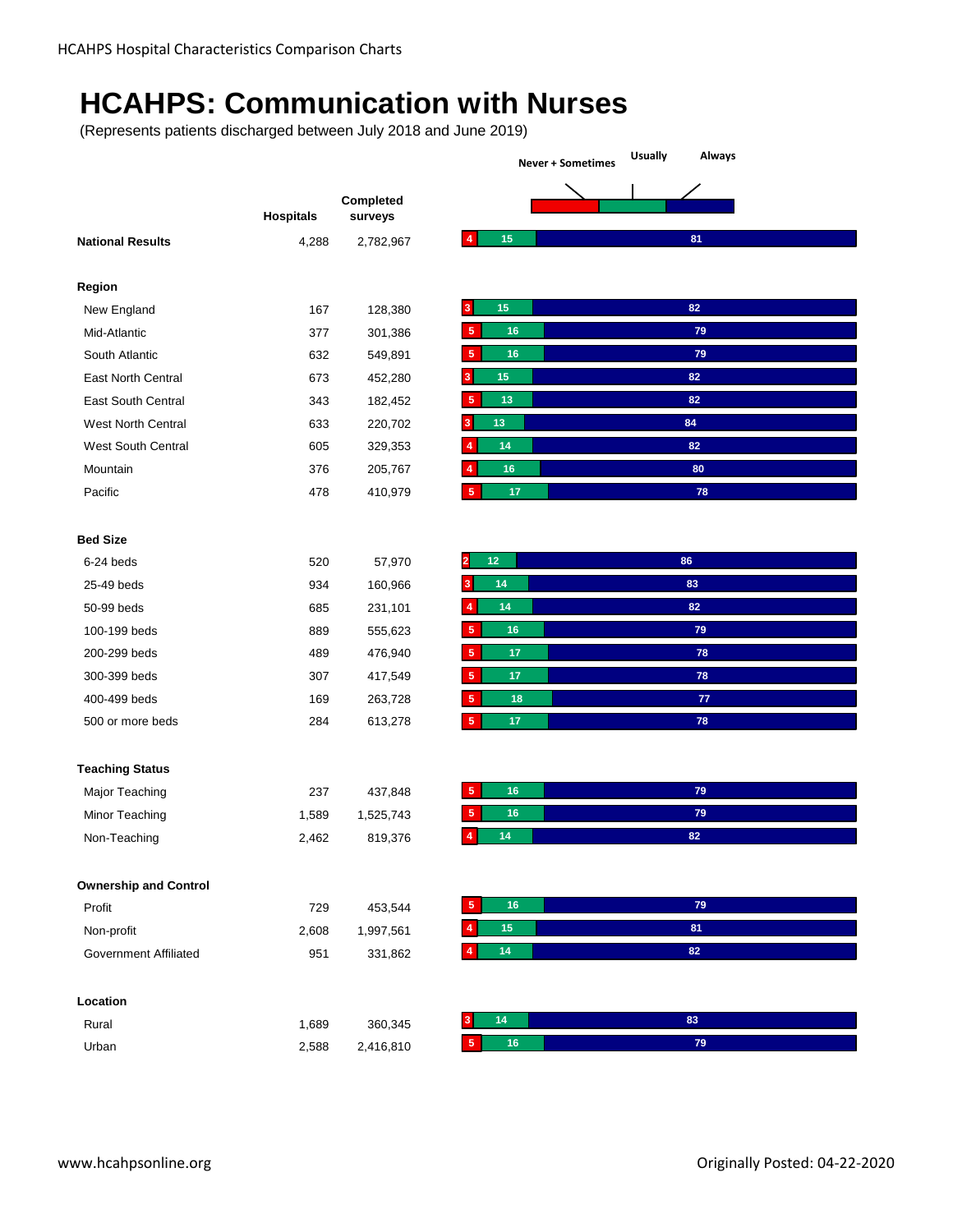## **HCAHPS: Communication with Nurses**

|                                |                  |                      | <b>Usually</b><br>Always<br><b>Never + Sometimes</b> |  |  |
|--------------------------------|------------------|----------------------|------------------------------------------------------|--|--|
|                                |                  |                      |                                                      |  |  |
|                                | <b>Hospitals</b> | Completed<br>surveys |                                                      |  |  |
| <b>National Results</b>        | 4,288            | 2,782,967            | 15<br>81<br>4                                        |  |  |
| Region                         |                  |                      |                                                      |  |  |
| New England                    | 167              | 128,380              | 15<br>82<br>3                                        |  |  |
| Mid-Atlantic                   | 377              | 301,386              | 16<br>79<br>5                                        |  |  |
| South Atlantic                 | 632              | 549,891              | 5<br>16<br>79                                        |  |  |
| East North Central             | 673              | 452,280              | 82<br>15<br>3                                        |  |  |
| <b>East South Central</b>      | 343              | 182,452              | 13<br>82<br>5                                        |  |  |
| West North Central             | 633              | 220,702              | 13<br>84<br>3                                        |  |  |
| West South Central             | 605              | 329,353              | 82<br>14<br>$\overline{4}$                           |  |  |
| Mountain                       | 376              | 205,767              | 80<br>4<br>16                                        |  |  |
| Pacific                        | 478              | 410,979              | $17\,$<br>78<br>5                                    |  |  |
|                                |                  |                      |                                                      |  |  |
| <b>Bed Size</b>                |                  |                      |                                                      |  |  |
| 6-24 beds                      | 520              | 57,970               | 12<br>86                                             |  |  |
| 25-49 beds                     | 934              | 160,966              | 14<br>83<br>3                                        |  |  |
| 50-99 beds                     | 685              | 231,101              | $\overline{4}$<br>14<br>82                           |  |  |
| 100-199 beds                   | 889              | 555,623              | $5\phantom{1}$<br>16<br>79                           |  |  |
| 200-299 beds                   | 489              | 476,940              | 5<br>17<br>78                                        |  |  |
| 300-399 beds                   | 307              | 417,549              | 5<br>17<br>78                                        |  |  |
| 400-499 beds                   | 169              | 263,728              | $\sqrt{5}$<br>18<br>${\bf 77}$                       |  |  |
| 500 or more beds               | 284              | 613,278              | $5\phantom{.0}$<br>17<br>78                          |  |  |
|                                |                  |                      |                                                      |  |  |
| <b>Teaching Status</b>         |                  |                      | 16<br>79<br>5                                        |  |  |
| Major Teaching                 | 237              | 437,848              | 5<br>16<br>79                                        |  |  |
| Minor Teaching<br>Non-Teaching | 1,589<br>2,462   | 1,525,743            | 14<br>4<br>82                                        |  |  |
|                                |                  | 819,376              |                                                      |  |  |
| <b>Ownership and Control</b>   |                  |                      |                                                      |  |  |
| Profit                         | 729              | 453,544              | $16\,$<br>$\bf 79$<br>5                              |  |  |
| Non-profit                     | 2,608            | 1,997,561            | $15\,$<br>81<br>$\overline{4}$                       |  |  |
| <b>Government Affiliated</b>   | 951              | 331,862              | 14<br>82<br>4                                        |  |  |
| Location                       |                  |                      |                                                      |  |  |
| Rural                          | 1,689            | 360,345              | 14<br>83                                             |  |  |
|                                |                  |                      |                                                      |  |  |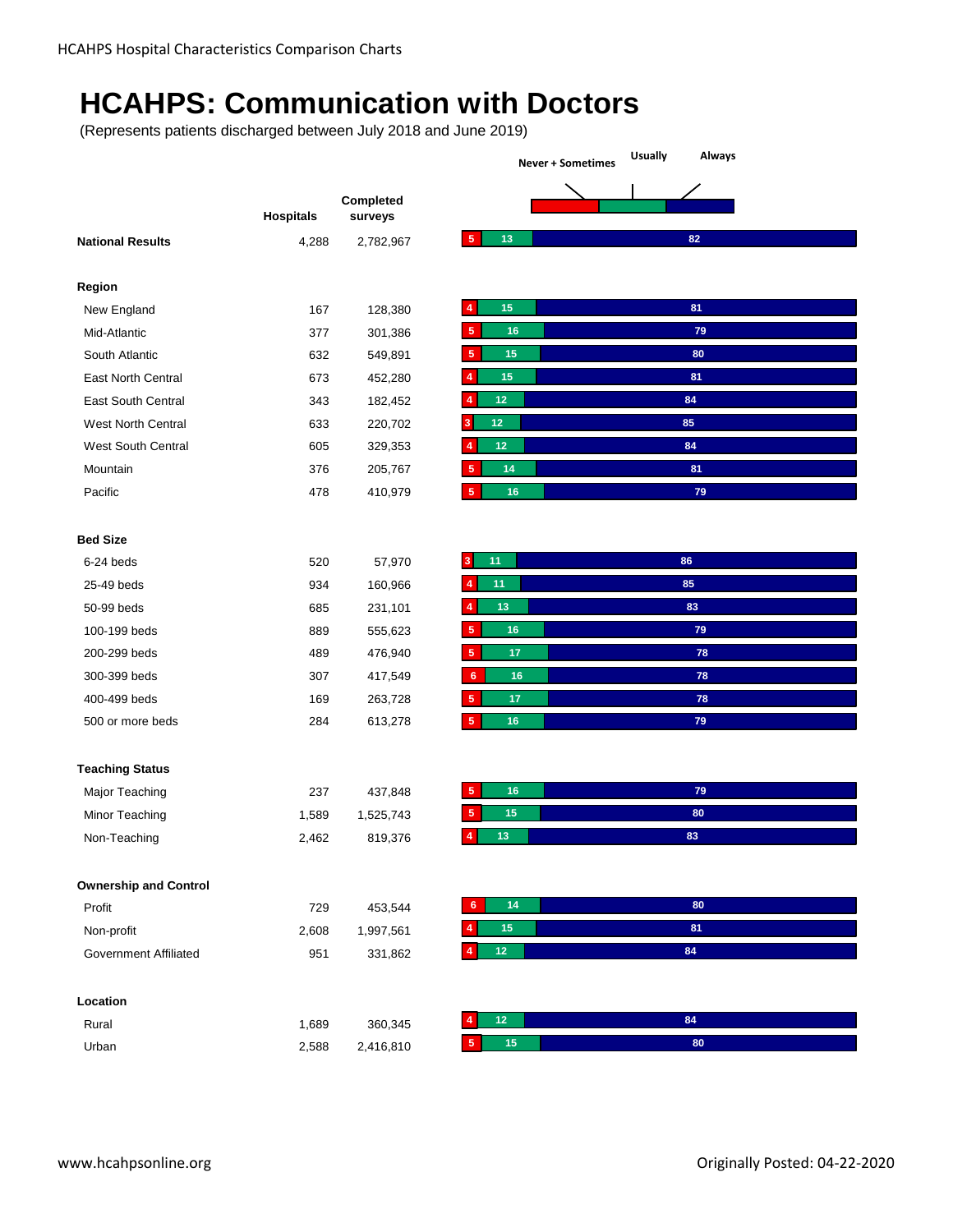## **HCAHPS: Communication with Doctors**

|                              |                  |                      | <b>Usually</b><br>Always<br><b>Never + Sometimes</b> |  |  |
|------------------------------|------------------|----------------------|------------------------------------------------------|--|--|
|                              |                  |                      |                                                      |  |  |
|                              | <b>Hospitals</b> | Completed<br>surveys |                                                      |  |  |
| <b>National Results</b>      | 4,288            | 2,782,967            | $\sqrt{5}$<br>13<br>82                               |  |  |
|                              |                  |                      |                                                      |  |  |
| Region                       |                  |                      |                                                      |  |  |
| New England                  | 167              | 128,380              | 15<br>81<br>$\overline{4}$                           |  |  |
| Mid-Atlantic                 | 377              | 301,386              | $\sqrt{5}$<br>16<br>79                               |  |  |
| South Atlantic               | 632              | 549,891              | 80<br>5<br>15                                        |  |  |
| East North Central           | 673              | 452,280              | 15<br>81<br>4                                        |  |  |
| East South Central           | 343              | 182,452              | 84<br>$12$<br>$\overline{4}$                         |  |  |
| West North Central           | 633              | 220,702              | 12<br>85<br>3                                        |  |  |
| West South Central           | 605              | 329,353              | 84<br>12<br>4                                        |  |  |
| Mountain                     | 376              | 205,767              | 81<br>5<br>14                                        |  |  |
| Pacific                      | 478              | 410,979              | $\sqrt{5}$<br>16<br>79                               |  |  |
|                              |                  |                      |                                                      |  |  |
| <b>Bed Size</b>              |                  |                      |                                                      |  |  |
| 6-24 beds                    | 520              | 57,970               | 11<br>86<br>3                                        |  |  |
| 25-49 beds                   | 934              | 160,966              | 11<br>85<br>$\overline{4}$                           |  |  |
| 50-99 beds                   | 685              | 231,101              | 83<br>13<br>4                                        |  |  |
| 100-199 beds                 | 889              | 555,623              | 5 <sub>5</sub><br>16<br>79                           |  |  |
| 200-299 beds                 | 489              | 476,940              | 5 <sub>5</sub><br>78<br>17                           |  |  |
| 300-399 beds                 | 307              | 417,549              | 16<br>78<br>6                                        |  |  |
| 400-499 beds                 | 169              | 263,728              | $\sqrt{5}$<br>17<br>78                               |  |  |
| 500 or more beds             | 284              | 613,278              | $\sqrt{5}$<br>16<br>79                               |  |  |
|                              |                  |                      |                                                      |  |  |
| <b>Teaching Status</b>       |                  |                      |                                                      |  |  |
| Major Teaching               | 237              | 437,848              | $\sqrt{5}$<br>16<br>79                               |  |  |
| Minor Teaching               | 1,589            | 1,525,743            | 5<br>15<br>80                                        |  |  |
| Non-Teaching                 | 2,462            | 819,376              | 13<br>$\overline{4}$<br>83                           |  |  |
| <b>Ownership and Control</b> |                  |                      |                                                      |  |  |
| Profit                       | 729              | 453,544              | 14<br>80<br>6                                        |  |  |
|                              |                  |                      | 15<br>81<br>$\overline{4}$                           |  |  |
| Non-profit                   | 2,608            | 1,997,561            | $12\,$<br>84<br>4                                    |  |  |
| <b>Government Affiliated</b> | 951              | 331,862              |                                                      |  |  |
| Location                     |                  |                      |                                                      |  |  |
| Rural                        | 1,689            | 360,345              | 84<br>$12$<br>4                                      |  |  |
| Urban                        | 2,588            | 2,416,810            | $15\,$<br>80<br>5 <sub>5</sub>                       |  |  |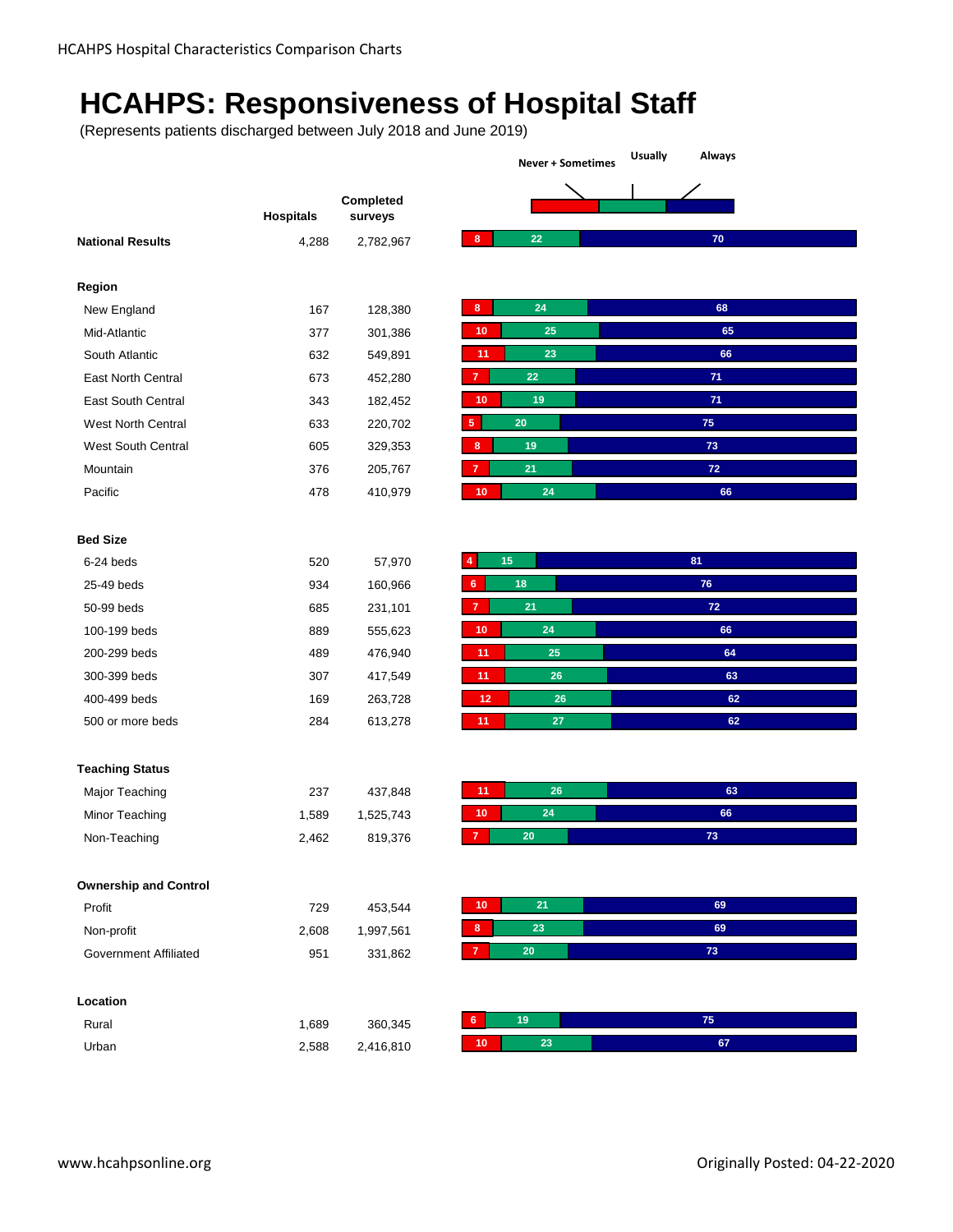## **HCAHPS: Responsiveness of Hospital Staff**

**Never + Sometimes Usually Always**

|                              | <b>Hospitals</b> | Completed<br>surveys |
|------------------------------|------------------|----------------------|
| <b>National Results</b>      | 4,288            | 2,782,967            |
|                              |                  |                      |
| Region                       |                  |                      |
| New England                  | 167              | 128,380              |
| Mid-Atlantic                 | 377              | 301,386              |
| South Atlantic               | 632              | 549,891              |
| East North Central           | 673              | 452,280              |
| <b>East South Central</b>    | 343              | 182,452              |
| West North Central           | 633              | 220,702              |
| West South Central           | 605              | 329,353              |
| Mountain                     | 376              | 205,767              |
| Pacific                      | 478              | 410,979              |
|                              |                  |                      |
| <b>Bed Size</b>              |                  |                      |
| 6-24 beds                    | 520              |                      |
|                              |                  | 57,970               |
| 25-49 beds                   | 934              | 160,966              |
| 50-99 beds                   | 685              | 231,101              |
| 100-199 beds                 | 889              | 555,623              |
| 200-299 beds                 | 489              | 476,940              |
| 300-399 beds                 | 307              | 417,549              |
| 400-499 beds                 | 169              | 263,728              |
| 500 or more beds             | 284              | 613,278              |
|                              |                  |                      |
| <b>Teaching Status</b>       |                  |                      |
| Major Teaching               | 237              | 437,848              |
| Minor Teaching               | 1,589            | 1,525,743            |
| Non-Teaching                 | 2,462            | 819,376              |
|                              |                  |                      |
| <b>Ownership and Control</b> |                  |                      |
| Profit                       | 729              | 453,544              |
| Non-profit                   | 2,608            | 1,997,561            |
| Government Affiliated        | 951              | 331,862              |
|                              |                  |                      |
| Location                     |                  |                      |
| Rural                        | 1,689            | 360,345              |
| Urban                        | 2,588            | 2,416,810            |
|                              |                  |                      |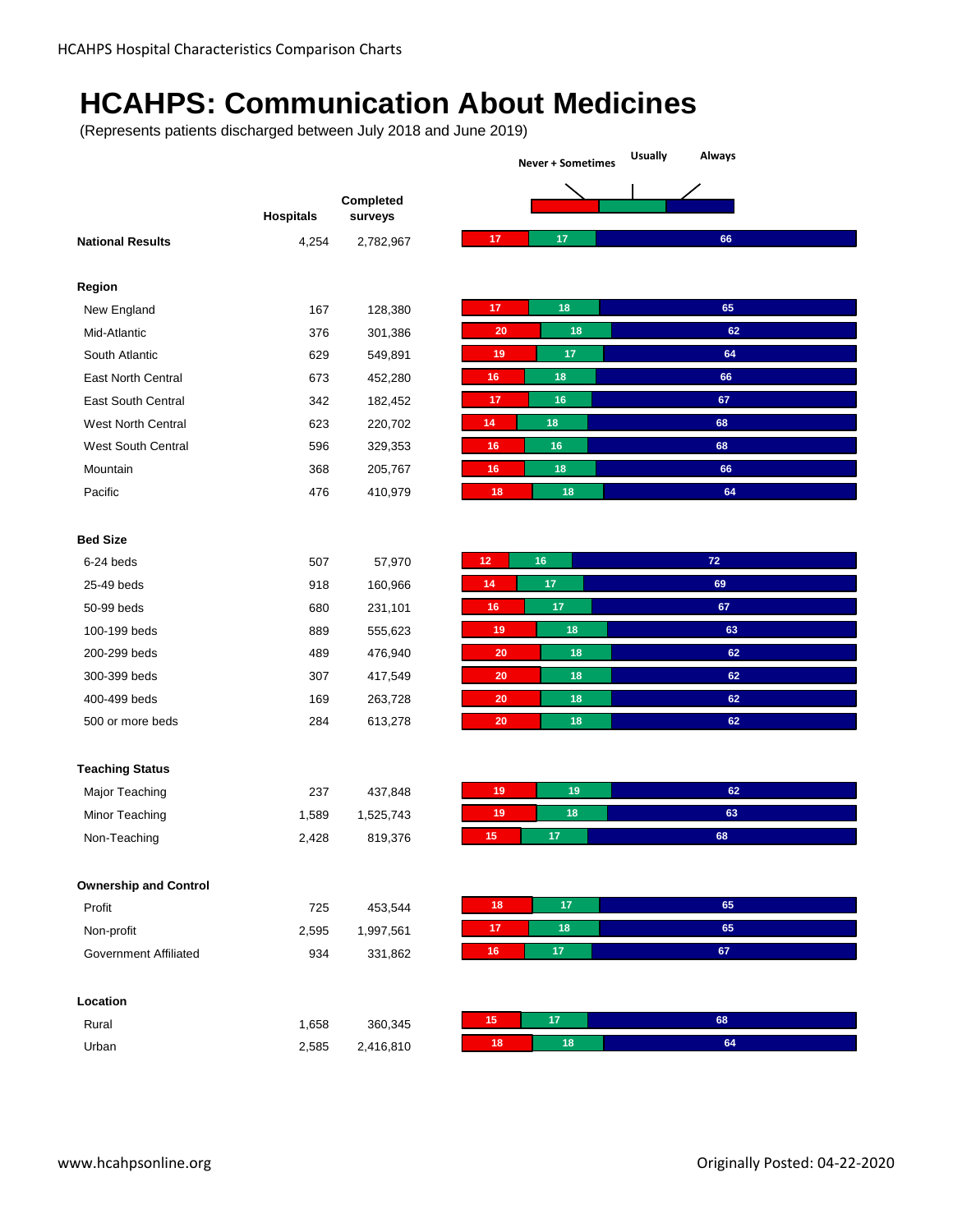## **HCAHPS: Communication About Medicines**

(Represents patients discharged between July 2018 and June 2019)

|                              | <b>Hospitals</b> | Completed<br>surveys |
|------------------------------|------------------|----------------------|
| <b>National Results</b>      | 4,254            | 2,782,967            |
|                              |                  |                      |
| Region                       |                  |                      |
| New England                  | 167              | 128,380              |
| Mid-Atlantic                 | 376              | 301,386              |
| South Atlantic               | 629              | 549,891              |
| East North Central           | 673              | 452,280              |
| East South Central           | 342              | 182,452              |
| <b>West North Central</b>    | 623              | 220,702              |
| West South Central           | 596              | 329,353              |
| Mountain                     | 368              | 205,767              |
| Pacific                      | 476              | 410,979              |
|                              |                  |                      |
| <b>Bed Size</b>              |                  |                      |
| 6-24 beds                    | 507              | 57,970               |
| 25-49 beds                   | 918              | 160,966              |
| 50-99 beds                   | 680              | 231,101              |
| 100-199 beds                 | 889              | 555,623              |
| 200-299 beds                 | 489              | 476,940              |
| 300-399 beds                 | 307              | 417,549              |
| 400-499 beds                 | 169              | 263,728              |
| 500 or more beds             | 284              | 613,278              |
|                              |                  |                      |
|                              |                  |                      |
| <b>Teaching Status</b>       |                  |                      |
| Major Teaching               | 237              | 437,848              |
| Minor Teaching               | 1,589            | 1,525,743            |
| Non-Teaching                 | 2,428            | 819,376              |
| <b>Ownership and Control</b> |                  |                      |
| Profit                       | 725              | 453,544              |
| Non-profit                   | 2,595            | 1,997,561            |
| <b>Government Affiliated</b> | 934              | 331,862              |
|                              |                  |                      |
| Location                     |                  |                      |
| Rural                        | 1,658            | 360,345              |
|                              |                  |                      |

**Never + Sometimes Usually Always**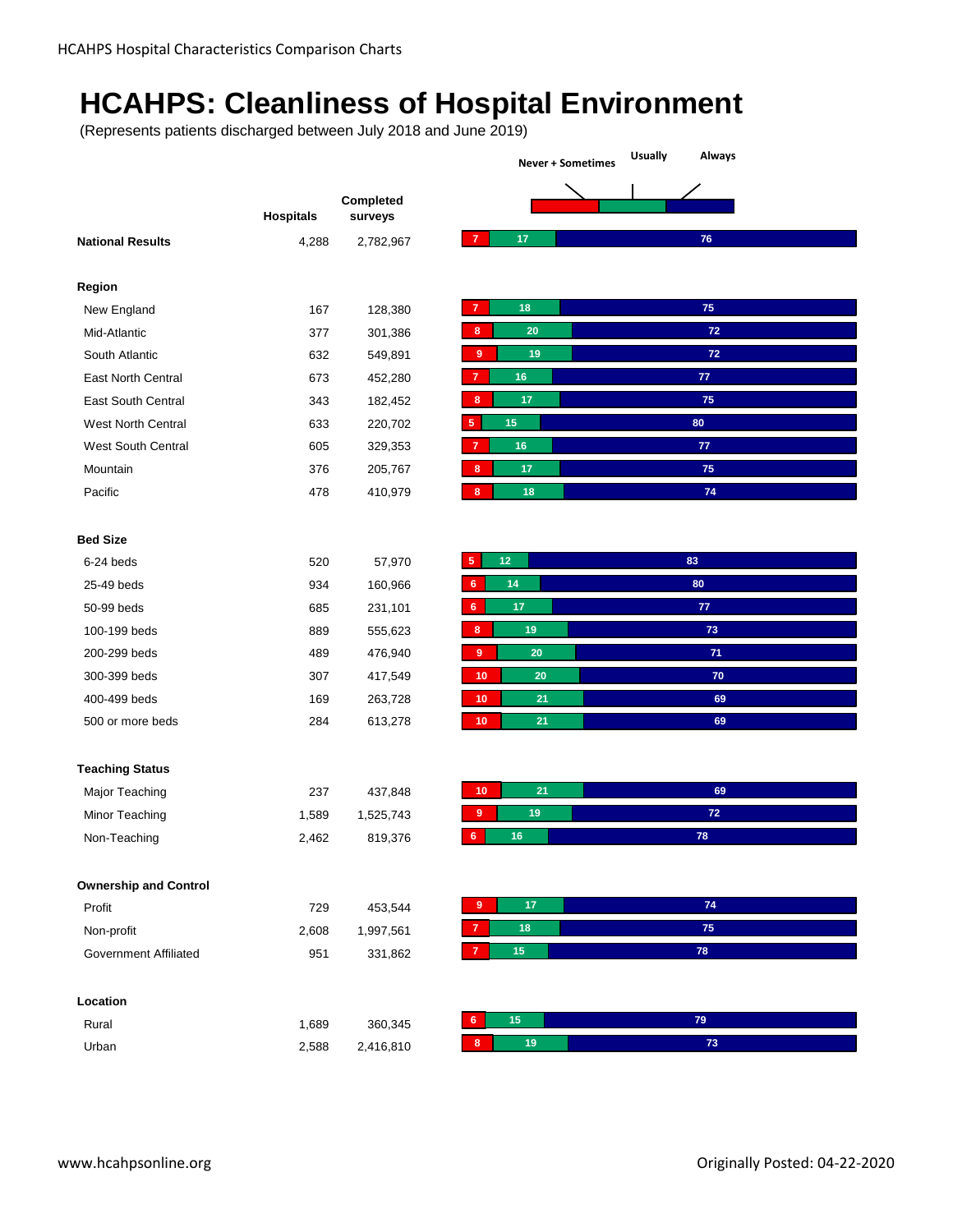# **HCAHPS: Cleanliness of Hospital Environment**

|                              | <b>Hospitals</b> | Completed<br>surveys |
|------------------------------|------------------|----------------------|
| <b>National Results</b>      | 4,288            | 2,782,967            |
|                              |                  |                      |
| Region                       |                  |                      |
| New England                  | 167              | 128,380              |
| Mid-Atlantic                 | 377              | 301,386              |
| South Atlantic               | 632              | 549,891              |
| East North Central           | 673              | 452,280              |
| <b>East South Central</b>    | 343              | 182,452              |
| West North Central           | 633              | 220,702              |
| West South Central           | 605              | 329,353              |
| Mountain                     | 376              | 205,767              |
| Pacific                      | 478              | 410,979              |
|                              |                  |                      |
| <b>Bed Size</b>              |                  |                      |
| 6-24 beds                    | 520              | 57,970               |
| 25-49 beds                   | 934              | 160,966              |
| 50-99 beds                   | 685              | 231,101              |
| 100-199 beds                 | 889              | 555,623              |
| 200-299 beds                 | 489              | 476,940              |
| 300-399 beds                 | 307              | 417,549              |
| 400-499 beds                 | 169              | 263,728              |
| 500 or more beds             | 284              | 613,278              |
|                              |                  |                      |
| <b>Teaching Status</b>       |                  |                      |
| Major Teaching               | 237              | 437,848              |
| Minor Teaching               | 1,589            | 1,525,743            |
| Non-Teaching                 | 2,462            | 819,376              |
|                              |                  |                      |
| <b>Ownership and Control</b> |                  |                      |
| Profit                       | 729              | 453,544              |
| Non-profit                   | 2,608            | 1,997,561            |
| <b>Government Affiliated</b> | 951              | 331,862              |
|                              |                  |                      |
| Location                     |                  |                      |
| Rural                        | 1,689            | 360,345              |
| Urban                        | 2,588            | 2,416,810            |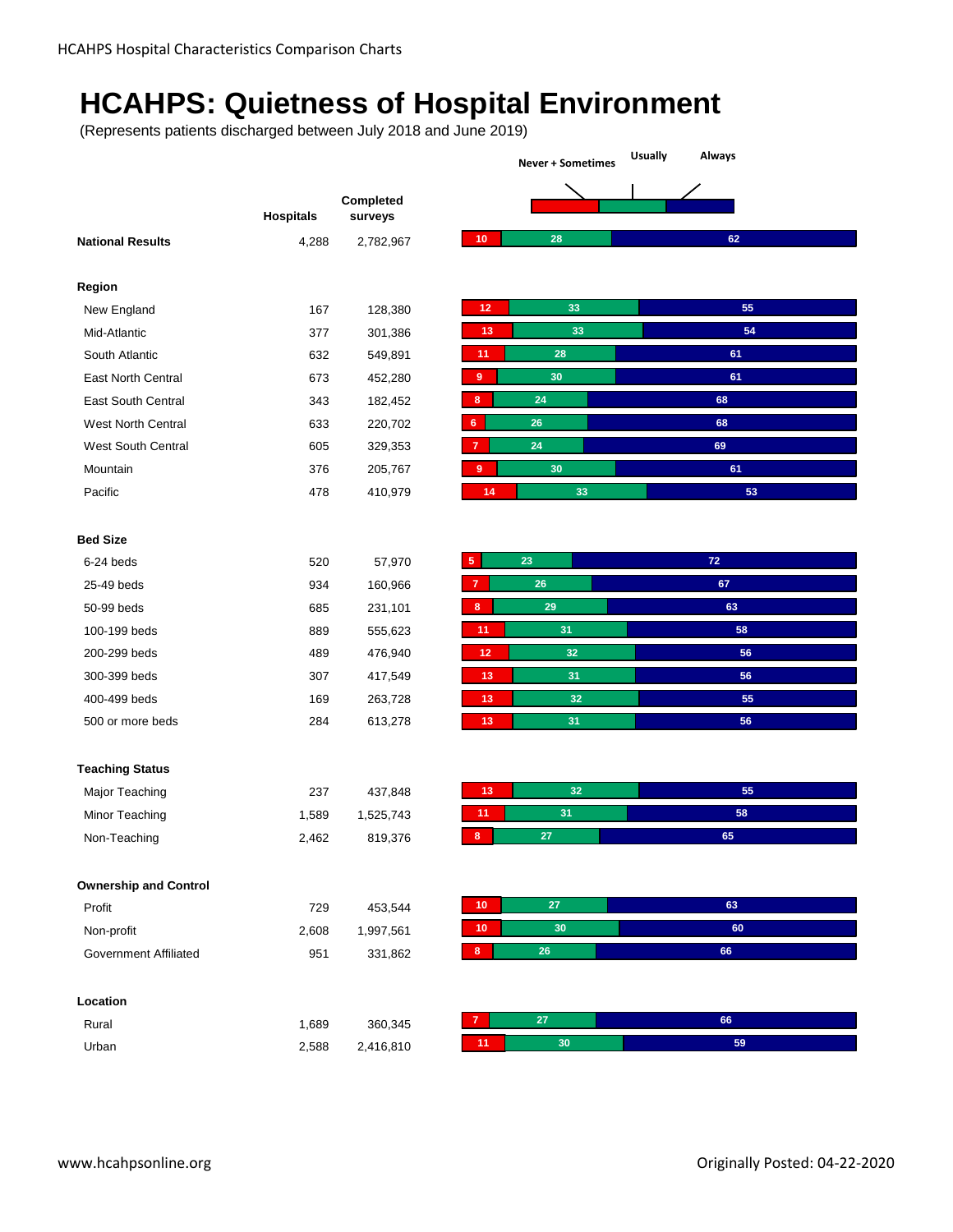## **HCAHPS: Quietness of Hospital Environment**

|                              |                  |                      | <b>Usually</b><br>Always<br><b>Never + Sometimes</b> |    |  |
|------------------------------|------------------|----------------------|------------------------------------------------------|----|--|
|                              |                  |                      |                                                      |    |  |
|                              | <b>Hospitals</b> | Completed<br>surveys |                                                      |    |  |
| <b>National Results</b>      | 4,288            | 2,782,967            | 28<br>10                                             | 62 |  |
|                              |                  |                      |                                                      |    |  |
| Region                       |                  |                      |                                                      |    |  |
| New England                  | 167              | 128,380              | 33<br>12                                             | 55 |  |
| Mid-Atlantic                 | 377              | 301,386              | 33<br>13                                             | 54 |  |
| South Atlantic               | 632              | 549,891              | 28<br>11                                             | 61 |  |
| East North Central           | 673              | 452,280              | $\boldsymbol{9}$<br>30                               | 61 |  |
| East South Central           | 343              | 182,452              | 24<br>8                                              | 68 |  |
| West North Central           | 633              | 220,702              | $6\phantom{a}$<br>26                                 | 68 |  |
| West South Central           | 605              | 329,353              | 24<br>$\overline{7}$                                 | 69 |  |
| Mountain                     | 376              | 205,767              | 30<br>$\overline{9}$                                 | 61 |  |
| Pacific                      | 478              | 410,979              | 33<br>14                                             | 53 |  |
|                              |                  |                      |                                                      |    |  |
| <b>Bed Size</b>              |                  |                      |                                                      |    |  |
| 6-24 beds                    | 520              | 57,970               | $\sqrt{5}$<br>23                                     | 72 |  |
| 25-49 beds                   | 934              | 160,966              | ${\bf 26}$<br>$\overline{7}$                         | 67 |  |
| 50-99 beds                   | 685              | 231,101              | 29<br>8                                              | 63 |  |
| 100-199 beds                 | 889              | 555,623              | 31<br>11                                             | 58 |  |
| 200-299 beds                 | 489              | 476,940              | 32<br>12                                             | 56 |  |
| 300-399 beds                 | 307              | 417,549              | 13<br>31                                             | 56 |  |
| 400-499 beds                 | 169              | 263,728              | 32<br>13                                             | 55 |  |
| 500 or more beds             | 284              | 613,278              | 13<br>31                                             | 56 |  |
|                              |                  |                      |                                                      |    |  |
| <b>Teaching Status</b>       |                  |                      | 32<br>13                                             | 55 |  |
| Major Teaching               | 237              | 437,848              |                                                      |    |  |
| Minor Teaching               | 1,589            | 1,525,743            | 31<br>11                                             | 58 |  |
| Non-Teaching                 | 2,462            | 819,376              | $\bf8$<br>27                                         | 65 |  |
| <b>Ownership and Control</b> |                  |                      |                                                      |    |  |
| Profit                       | 729              | 453,544              | 10<br>27                                             | 63 |  |
| Non-profit                   | 2,608            | 1,997,561            | 30<br>10                                             | 60 |  |
| <b>Government Affiliated</b> | 951              | 331,862              | $\bf{8}$<br>26                                       | 66 |  |
| Location                     |                  |                      |                                                      |    |  |
|                              |                  |                      | $\overline{7}$<br>27                                 | 66 |  |
| Rural                        | 1,689            | 360,345              |                                                      |    |  |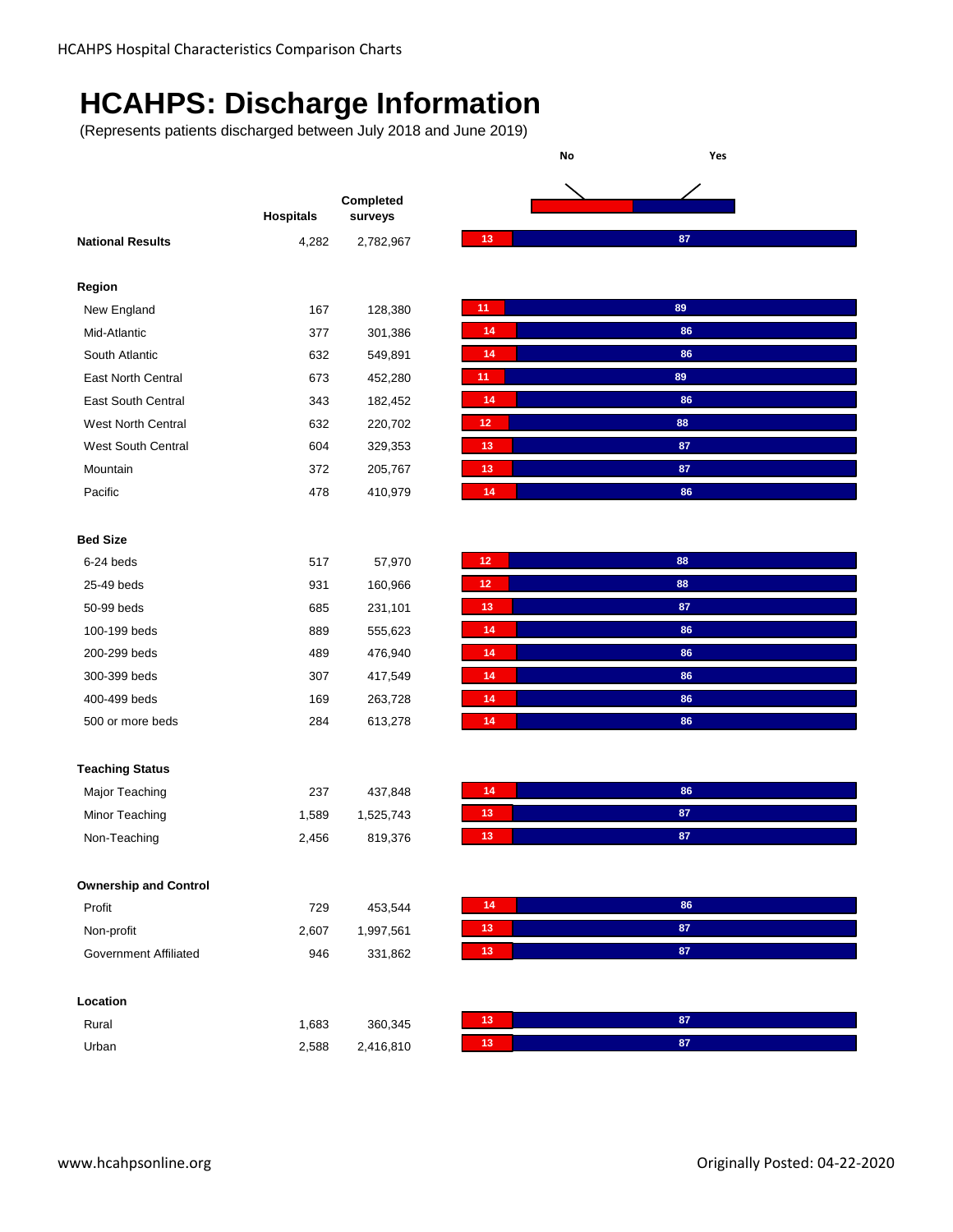### **HCAHPS: Discharge Information**

(Represents patients discharged between July 2018 and June 2019)

|                              |                  | Completed |
|------------------------------|------------------|-----------|
|                              | <b>Hospitals</b> | surveys   |
| <b>National Results</b>      | 4,282            | 2,782,967 |
|                              |                  |           |
| Region                       |                  |           |
| New England                  | 167              | 128,380   |
| Mid-Atlantic                 | 377              | 301,386   |
| South Atlantic               | 632              | 549,891   |
| East North Central           | 673              | 452,280   |
| <b>East South Central</b>    | 343              | 182,452   |
| West North Central           | 632              | 220,702   |
| West South Central           | 604              | 329,353   |
| Mountain                     | 372              | 205,767   |
| Pacific                      | 478              | 410,979   |
|                              |                  |           |
| <b>Bed Size</b>              |                  |           |
| 6-24 beds                    | 517              | 57,970    |
| 25-49 beds                   | 931              | 160,966   |
| 50-99 beds                   | 685              | 231,101   |
| 100-199 beds                 | 889              | 555,623   |
| 200-299 beds                 | 489              | 476,940   |
| 300-399 beds                 | 307              | 417,549   |
| 400-499 beds                 | 169              | 263,728   |
| 500 or more beds             | 284              | 613,278   |
|                              |                  |           |
| <b>Teaching Status</b>       |                  |           |
| Major Teaching               | 237              | 437,848   |
|                              |                  |           |
| Minor Teaching               | 1,589            | 1,525,743 |
| Non-Teaching                 | 2,456            | 819,376   |
|                              |                  |           |
| <b>Ownership and Control</b> |                  |           |
| Profit                       | 729              | 453,544   |
| Non-profit                   | 2,607            | 1,997,561 |
| <b>Government Affiliated</b> | 946              | 331,862   |
|                              |                  |           |
| Location                     |                  |           |
| Rural                        | 1,683            | 360,345   |
| Urban                        | 2,588            | 2,416,810 |
|                              |                  |           |

**No Yes**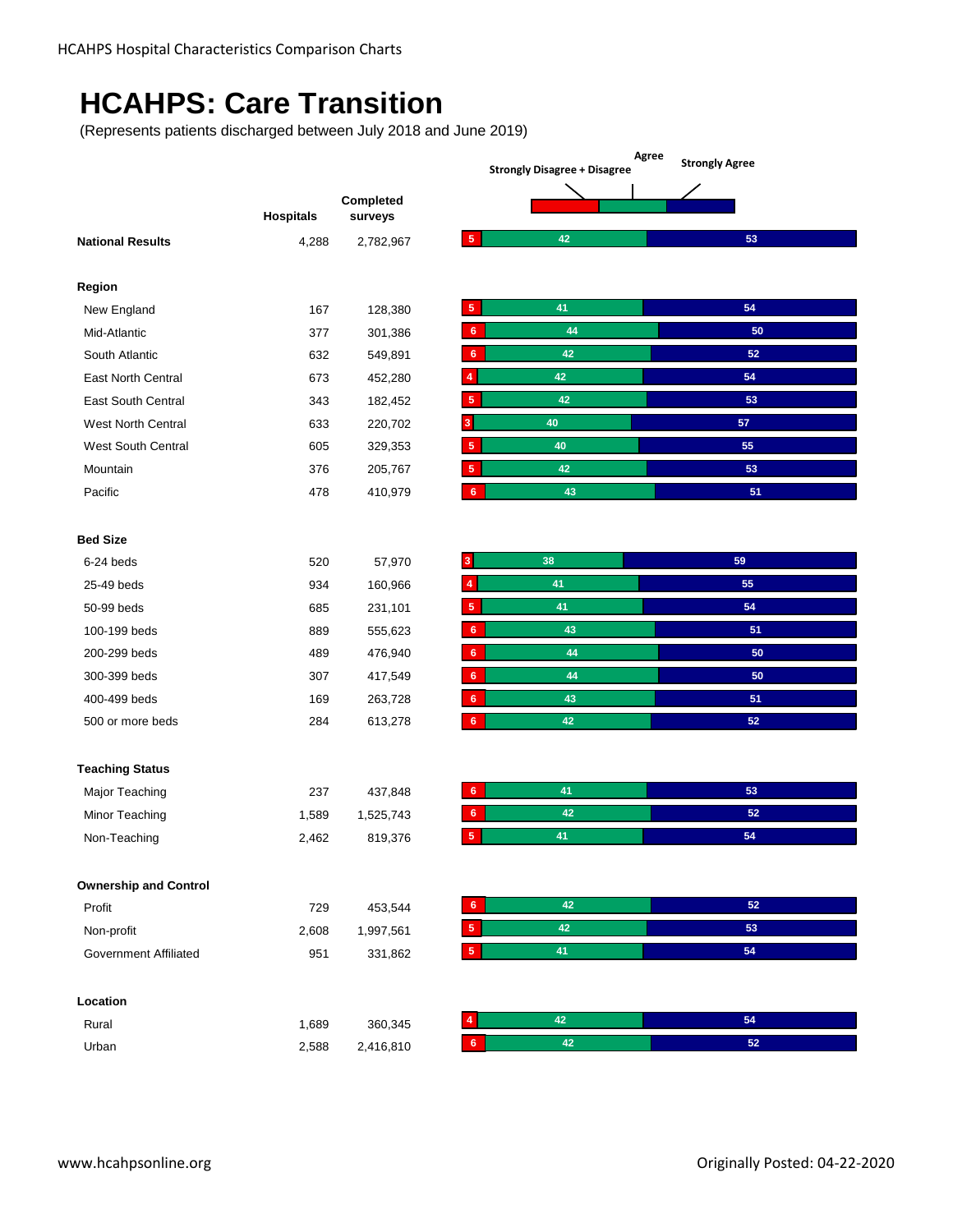### **HCAHPS: Care Transition**

(Represents patients discharged between July 2018 and June 2019)

|                  |                      | <b>Strongly Agree</b><br><b>Strongly Disagree + Disagree</b>               |        |  |
|------------------|----------------------|----------------------------------------------------------------------------|--------|--|
| <b>Hospitals</b> | Completed<br>surveys |                                                                            |        |  |
| 4,288            | 2,782,967            | 42<br>$\sqrt{5}$                                                           | 53     |  |
|                  |                      |                                                                            |        |  |
| 167              | 128,380              | 41<br>5                                                                    | 54     |  |
| 377              | 301,386              | 44<br>$6\phantom{1}$                                                       | 50     |  |
| 632              | 549,891              | $42\,$<br>6                                                                | $52\,$ |  |
| 673              | 452,280              | 42<br>4                                                                    | 54     |  |
| 343              | 182,452              | 42<br>5                                                                    | 53     |  |
| 633              | 220,702              | 40<br>3                                                                    | 57     |  |
| 605              | 329,353              | 40<br>5                                                                    | 55     |  |
| 376              | 205,767              | 42<br>5                                                                    | 53     |  |
| 478              | 410,979              | 43<br>$6\phantom{.}6$                                                      | 51     |  |
|                  |                      |                                                                            |        |  |
| 520              |                      | 38<br>3                                                                    | 59     |  |
| 934              |                      | 41<br>4                                                                    | 55     |  |
| 685              | 231,101              | 41<br>5                                                                    | 54     |  |
| 889              | 555,623              | 43<br>6                                                                    | 51     |  |
| 489              |                      | 44<br>$\bf 6$                                                              | 50     |  |
| 307              |                      | 44<br>$\bf 6$                                                              | 50     |  |
| 169              | 263,728              | $\bf 6$<br>43                                                              | 51     |  |
| 284              | 613,278              | 42<br>$\bf 6$                                                              | 52     |  |
|                  |                      |                                                                            |        |  |
| 237              |                      | 41<br>6 <sup>°</sup>                                                       | 53     |  |
|                  |                      | 42<br>6                                                                    | 52     |  |
| 2,462            | 819,376              | 41<br>5                                                                    | 54     |  |
|                  |                      |                                                                            |        |  |
| 729              |                      | 42<br>$\bf 6$                                                              | 52     |  |
| 2,608            | 1,997,561            | 42<br>$\sqrt{5}$                                                           | 53     |  |
| 951              | 331,862              | 41<br>$\sqrt{5}$                                                           | 54     |  |
|                  |                      |                                                                            |        |  |
| 1,689            | 360,345              | 42                                                                         | 54     |  |
| 2,588            | 2,416,810            | $42\,$<br>$6\phantom{.}6$                                                  | $52\,$ |  |
|                  | 1,589                | 57,970<br>160,966<br>476,940<br>417,549<br>437,848<br>1,525,743<br>453,544 |        |  |

**Agree Strongly Agree**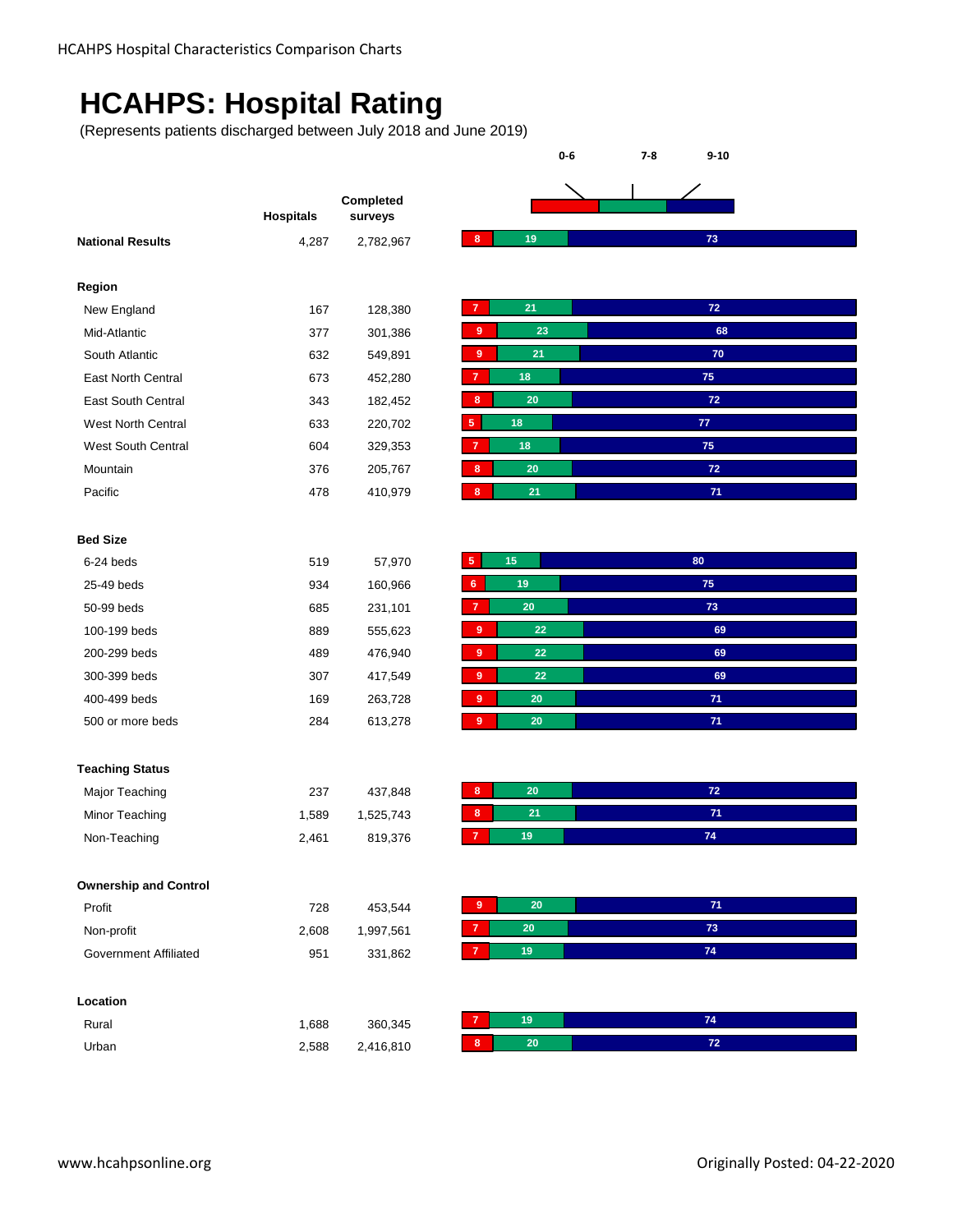### **HCAHPS: Hospital Rating**

(Represents patients discharged between July 2018 and June 2019)

|                              | <b>Hospitals</b> | Completed<br>surveys |
|------------------------------|------------------|----------------------|
| <b>National Results</b>      | 4,287            | 2,782,967            |
|                              |                  |                      |
| Region                       |                  |                      |
| New England                  | 167              | 128,380              |
| Mid-Atlantic                 | 377              | 301,386              |
| South Atlantic               | 632              | 549,891              |
| East North Central           | 673              | 452,280              |
| East South Central           | 343              | 182,452              |
| <b>West North Central</b>    | 633              | 220,702              |
| West South Central           | 604              | 329,353              |
| Mountain                     | 376              | 205,767              |
| Pacific                      | 478              | 410,979              |
|                              |                  |                      |
| <b>Bed Size</b>              |                  |                      |
| 6-24 beds                    | 519              | 57,970               |
| 25-49 beds                   | 934              | 160,966              |
| 50-99 beds                   | 685              | 231,101              |
| 100-199 beds                 | 889              | 555,623              |
| 200-299 beds                 | 489              | 476,940              |
| 300-399 beds                 | 307              | 417,549              |
| 400-499 beds                 | 169              | 263,728              |
| 500 or more beds             | 284              | 613,278              |
|                              |                  |                      |
| <b>Teaching Status</b>       |                  |                      |
| Major Teaching               | 237              | 437,848              |
| Minor Teaching               | 1,589            | 1,525,743            |
| Non-Teaching                 | 2,461            | 819,376              |
|                              |                  |                      |
| <b>Ownership and Control</b> |                  |                      |
| Profit                       | 728              | 453,544              |
| Non-profit                   | 2,608            | 1,997,561            |
| <b>Government Affiliated</b> | 951              | 331,862              |
|                              |                  |                      |
| Location                     |                  |                      |
| Rural                        | 1,688            | 360,345              |
| Urban                        | 2,588            | 2,416,810            |
|                              |                  |                      |

**0-6 7-8 9-10**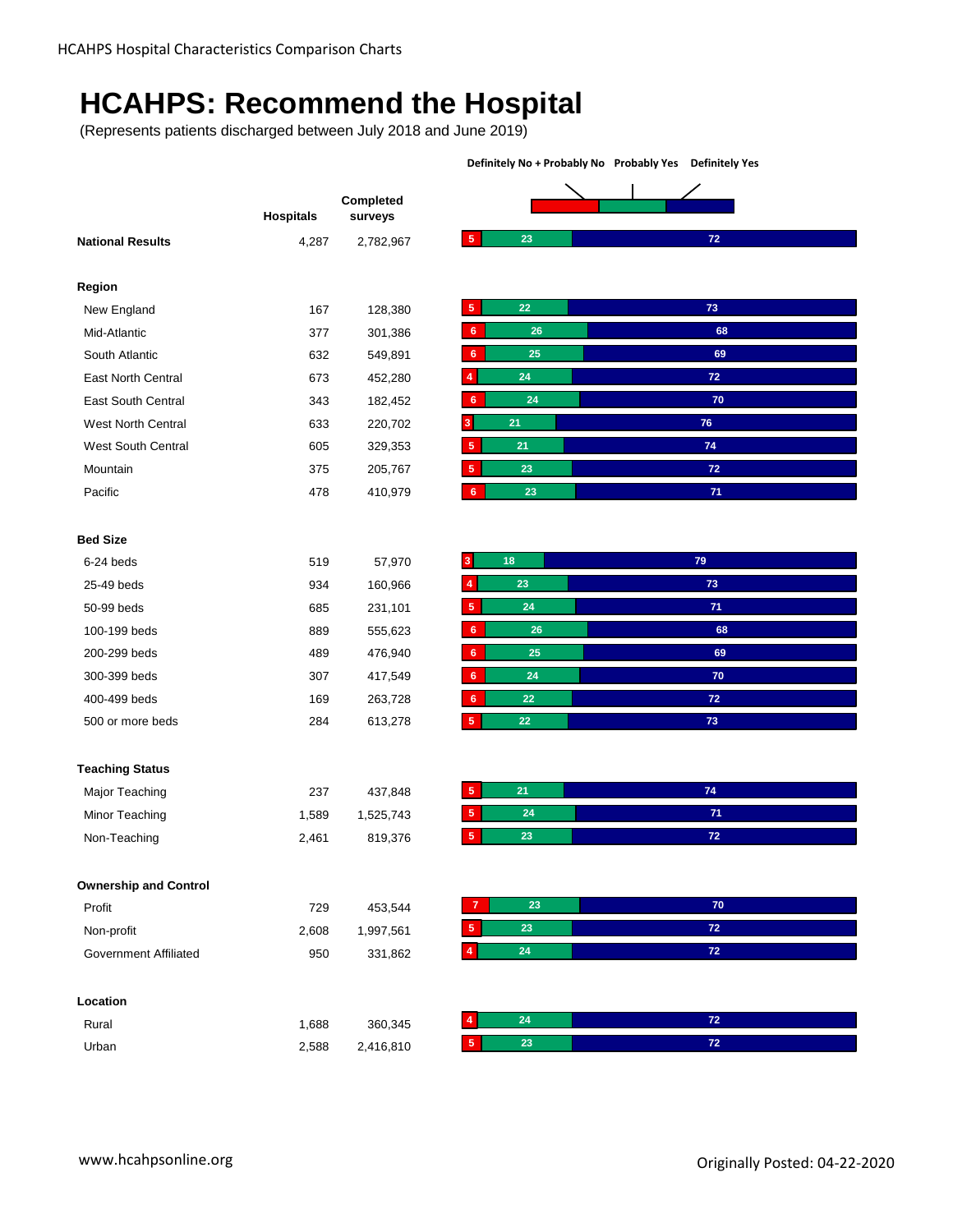## **HCAHPS: Recommend the Hospital**

(Represents patients discharged between July 2018 and June 2019)

|                              | <b>Hospitals</b> | Completed<br>surveys |                               |                 |
|------------------------------|------------------|----------------------|-------------------------------|-----------------|
| <b>National Results</b>      | 4,287            | 2,782,967            | $\sqrt{5}$<br>23              | $72$            |
| Region                       |                  |                      |                               |                 |
| New England                  | 167              | 128,380              | $\sqrt{5}$<br>22              | 73              |
| Mid-Atlantic                 | 377              | 301,386              | 26<br>6                       | 68              |
| South Atlantic               | 632              | 549,891              | 25<br>$6\phantom{1}$          | 69              |
| East North Central           | 673              | 452,280              | 24<br>4                       | 72              |
| East South Central           | 343              | 182,452              | $6\phantom{1}$<br>24          | 70              |
| <b>West North Central</b>    | 633              | 220,702              | 21<br>3                       | ${\bf 76}$      |
| West South Central           | 605              | 329,353              | ${\bf 5}$<br>21               | ${\bf 74}$      |
| Mountain                     | 375              | 205,767              | ${\bf 5}$<br>23               | 72              |
| Pacific                      | 478              | 410,979              | $6\phantom{.}6$<br>23         | 71              |
|                              |                  |                      |                               |                 |
| <b>Bed Size</b>              |                  |                      |                               |                 |
| 6-24 beds                    | 519              | 57,970               | 18<br>3                       | 79              |
| 25-49 beds                   | 934              | 160,966              | 23<br>$\overline{\mathbf{4}}$ | 73              |
| 50-99 beds                   | 685              | 231,101              | $\sqrt{5}$<br>24              | 71              |
| 100-199 beds                 | 889              | 555,623              | $\bf 6$<br>26                 | 68              |
| 200-299 beds                 | 489              | 476,940              | 25<br>6 <sup>°</sup>          | 69              |
| 300-399 beds                 | 307              | 417,549              | 24<br>6                       | 70              |
| 400-499 beds                 | 169              | 263,728              | 22<br>6 <sup>°</sup>          | 72              |
| 500 or more beds             | 284              | 613,278              | $5\phantom{.0}$<br>22         | 73              |
|                              |                  |                      |                               |                 |
| <b>Teaching Status</b>       |                  |                      |                               |                 |
| Major Teaching               | 237              | 437,848              | $\sqrt{5}$<br>21              | 74              |
| Minor Teaching               | 1,589            | 1,525,743            | 5 <sub>5</sub><br>24          | 71              |
| Non-Teaching                 | 2,461            | 819,376              | $\sqrt{5}$<br>23              | 72              |
|                              |                  |                      |                               |                 |
| <b>Ownership and Control</b> |                  |                      |                               |                 |
| Profit                       | 729              | 453,544              | 23<br>$\overline{7}$          | 70              |
| Non-profit                   | 2,608            | 1,997,561            | $5^{\circ}$<br>23             | $\bf 72$        |
| <b>Government Affiliated</b> | 950              | 331,862              | 24<br>4 <sub>1</sub>          | 72 <sub>2</sub> |
| Location                     |                  |                      |                               |                 |
| Rural                        | 1,688            | 360,345              | 24<br>$\overline{4}$          | $\bf 72$        |
|                              |                  | 2,416,810            | 23<br>$\sqrt{5}$              | 72 <sub>2</sub> |

**Definitely No + Probably No Probably Yes Definitely Yes**